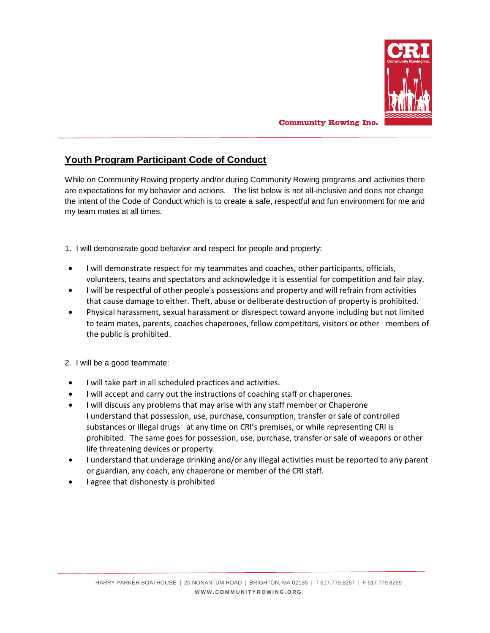

## **Community Rowing Inc.**

## **Youth Program Participant Code of Conduct**

While on Community Rowing property and/or during Community Rowing programs and activities there are expectations for my behavior and actions. The list below is not all-inclusive and does not change the intent of the Code of Conduct which is to create a safe, respectful and fun environment for me and my team mates at all times.

1. I will demonstrate good behavior and respect for people and property:

- I will demonstrate respect for my teammates and coaches, other participants, officials, volunteers, teams and spectators and acknowledge it is essential for competition and fair play.
- I will be respectful of other people's possessions and property and will refrain from activities that cause damage to either. Theft, abuse or deliberate destruction of property is prohibited.
- Physical harassment, sexual harassment or disrespect toward anyone including but not limited to team mates, parents, coaches chaperones, fellow competitors, visitors or other members of the public is prohibited.
- 2. I will be a good teammate:
- I will take part in all scheduled practices and activities.
- I will accept and carry out the instructions of coaching staff or chaperones.
- I will discuss any problems that may arise with any staff member or Chaperone I understand that possession, use, purchase, consumption, transfer or sale of controlled substances or illegal drugs at any time on CRI's premises, or while representing CRI is prohibited. The same goes for possession, use, purchase, transfer or sale of weapons or other life threatening devices or property.
- I understand that underage drinking and/or any illegal activities must be reported to any parent or guardian, any coach, any chaperone or member of the CRI staff.
- I agree that dishonesty is prohibited